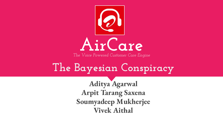

# **The Bayesian Conspiracy**

**Aditya Agarwal Arpit Tarang Saxena Soumyadeep Mukherjee Vivek Aithal**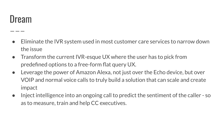### Dream

- Eliminate the IVR system used in most customer care services to narrow down the issue
- Transform the current IVR-esque UX where the user has to pick from predefined options to a free-form flat query UX.
- Leverage the power of Amazon Alexa, not just over the Echo device, but over VOIP and normal voice calls to truly build a solution that can scale and create impact
- Inject intelligence into an ongoing call to predict the sentiment of the caller so as to measure, train and help CC executives.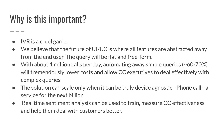## Why is this important?

- IVR is a cruel game.
- We believe that the future of UI/UX is where all features are abstracted away from the end user. The query will be flat and free-form.
- With about 1 million calls per day, automating away simple queries (~60-70%) will tremendously lower costs and allow CC executives to deal effectively with complex queries
- The solution can scale only when it can be truly device agnostic Phone call a service for the next billion
- Real time sentiment analysis can be used to train, measure CC effectiveness and help them deal with customers better.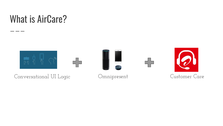### What is AirCare?

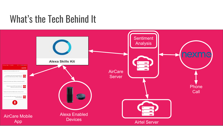### What's the Tech Behind It